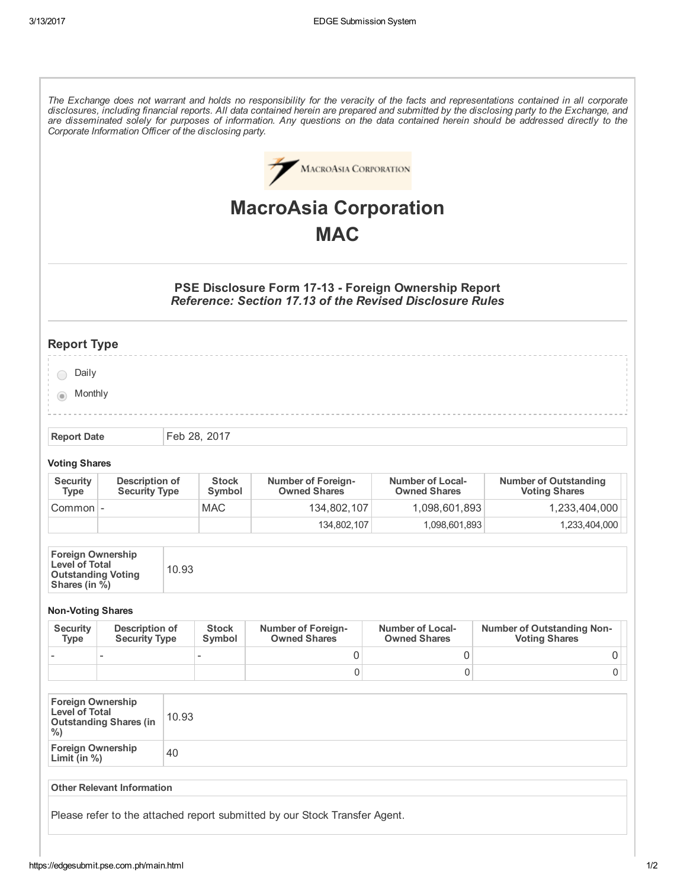The Exchange does not warrant and holds no responsibility for the veracity of the facts and representations contained in all corporate disclosures, including financial reports. All data contained herein are prepared and submitted by the disclosing party to the Exchange, and are disseminated solely for purposes of information. Any questions on the data contained herein should be addressed directly to the Corporate Information Officer of the disclosing party.



# MacroAsia Corporation **MAC**

## PSE Disclosure Form 17-13 - Foreign Ownership Report Reference: Section 17.13 of the Revised Disclosure Rules

# Report Type

O Daily

**Monthly** 

Report Date Feb 28, 2017

### Voting Shares

| <b>Security</b><br>Type | Description of<br><b>Security Type</b> | <b>Stock</b><br>Symbol | <b>Number of Foreign-</b><br><b>Owned Shares</b> | Number of Local-<br><b>Owned Shares</b> | <b>Number of Outstanding</b><br><b>Voting Shares</b> |
|-------------------------|----------------------------------------|------------------------|--------------------------------------------------|-----------------------------------------|------------------------------------------------------|
| Common -                |                                        | MAC                    | 134.802.107                                      | 1,098,601,893                           | 1,233,404,000                                        |
|                         |                                        |                        | 134.802.107                                      | 1,098,601,893                           | 1,233,404,000                                        |

| <b>Foreign Ownership</b><br><b>Level of Total</b><br><b>Outstanding Voting</b><br>Shares (in %) | 10.93 |
|-------------------------------------------------------------------------------------------------|-------|

### **Non-Voting Shares**

| <b>Security</b><br>Type | Description of<br><b>Security Type</b> | <b>Stock</b><br>Symbol   | <b>Number of Foreign-</b><br><b>Owned Shares</b> | <b>Number of Local-</b><br><b>Owned Shares</b> | <b>Number of Outstanding Non-</b><br><b>Voting Shares</b> |
|-------------------------|----------------------------------------|--------------------------|--------------------------------------------------|------------------------------------------------|-----------------------------------------------------------|
|                         |                                        | $\overline{\phantom{a}}$ |                                                  |                                                |                                                           |
|                         |                                        |                          |                                                  |                                                | 0                                                         |

| <b>Foreign Ownership</b><br><b>Level of Total</b><br><b>Outstanding Shares (in</b><br>$\%$ | 10.93 |
|--------------------------------------------------------------------------------------------|-------|
| <b>Foreign Ownership</b><br>Limit (in %)                                                   | 40    |

#### Other Relevant Information

Please refer to the attached report submitted by our Stock Transfer Agent.